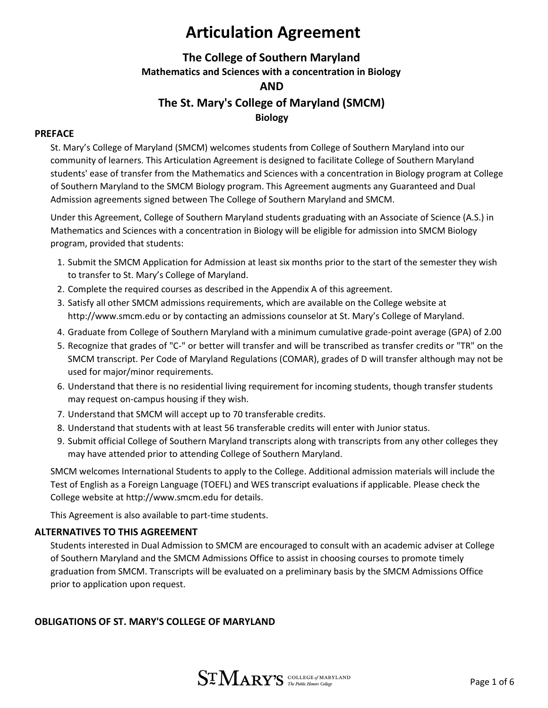#### **The College of Southern Maryland Mathematics and Sciences with a concentration in Biology AND The St. Mary's College of Maryland (SMCM) Biology**

#### **PREFACE**

St. Mary's College of Maryland (SMCM) welcomes students from College of Southern Maryland into our community of learners. This Articulation Agreement is designed to facilitate College of Southern Maryland students' ease of transfer from the Mathematics and Sciences with a concentration in Biology program at College of Southern Maryland to the SMCM Biology program. This Agreement augments any Guaranteed and Dual Admission agreements signed between The College of Southern Maryland and SMCM.

Under this Agreement, College of Southern Maryland students graduating with an Associate of Science (A.S.) in Mathematics and Sciences with a concentration in Biology will be eligible for admission into SMCM Biology program, provided that students:

- 1. Submit the SMCM Application for Admission at least six months prior to the start of the semester they wish to transfer to St. Mary's College of Maryland.
- 2. Complete the required courses as described in the Appendix A of this agreement.
- 3. Satisfy all other SMCM admissions requirements, which are available on the College website at [http://www.smcm.edu](http://www.smcm.edu/) or by contacting an admissions counselor at St. Mary's College of Maryland.
- 4. Graduate from College of Southern Maryland with a minimum cumulative grade-point average (GPA) of 2.00
- 5. Recognize that grades of "C-" or better will transfer and will be transcribed as transfer credits or "TR" on the SMCM transcript. Per Code of Maryland Regulations (COMAR), grades of D will transfer although may not be used for major/minor requirements.
- 6. Understand that there is no residential living requirement for incoming students, though transfer students may request on-campus housing if they wish.
- 7. Understand that SMCM will accept up to 70 transferable credits.
- 8. Understand that students with at least 56 transferable credits will enter with Junior status.
- 9. Submit official College of Southern Maryland transcripts along with transcripts from any other colleges they may have attended prior to attending College of Southern Maryland.

SMCM welcomes International Students to apply to the College. Additional admission materials will include the Test of English as a Foreign Language (TOEFL) and WES transcript evaluations if applicable. Please check the College website at [http://www.smcm.edu f](http://www.smcm.edu/)or details.

This Agreement is also available to part-time students.

#### **ALTERNATIVES TO THIS AGREEMENT**

Students interested in Dual Admission to SMCM are encouraged to consult with an academic adviser at College of Southern Maryland and the SMCM Admissions Office to assist in choosing courses to promote timely graduation from SMCM. Transcripts will be evaluated on a preliminary basis by the SMCM Admissions Office prior to application upon request.

#### **OBLIGATIONS OF ST. MARY'S COLLEGE OF MARYLAND**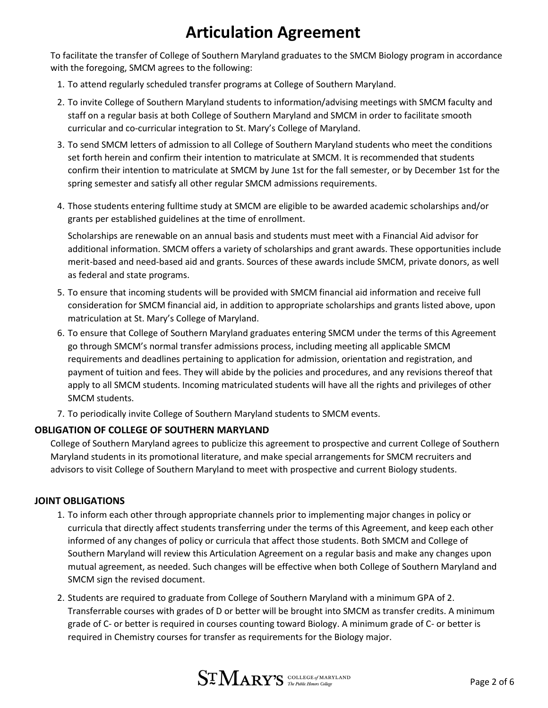To facilitate the transfer of College of Southern Maryland graduates to the SMCM Biology program in accordance with the foregoing, SMCM agrees to the following:

- 1. To attend regularly scheduled transfer programs at College of Southern Maryland.
- 2. To invite College of Southern Maryland students to information/advising meetings with SMCM faculty and staff on a regular basis at both College of Southern Maryland and SMCM in order to facilitate smooth curricular and co-curricular integration to St. Mary's College of Maryland.
- 3. To send SMCM letters of admission to all College of Southern Maryland students who meet the conditions set forth herein and confirm their intention to matriculate at SMCM. It is recommended that students confirm their intention to matriculate at SMCM by June 1st for the fall semester, or by December 1st for the spring semester and satisfy all other regular SMCM admissions requirements.
- 4. Those students entering fulltime study at SMCM are eligible to be awarded academic scholarships and/or grants per established guidelines at the time of enrollment.

Scholarships are renewable on an annual basis and students must meet with a Financial Aid advisor for additional information. SMCM offers a variety of scholarships and grant awards. These opportunities include merit-based and need-based aid and grants. Sources of these awards include SMCM, private donors, as well as federal and state programs.

- 5. To ensure that incoming students will be provided with SMCM financial aid information and receive full consideration for SMCM financial aid, in addition to appropriate scholarships and grants listed above, upon matriculation at St. Mary's College of Maryland.
- 6. To ensure that College of Southern Maryland graduates entering SMCM under the terms of this Agreement go through SMCM's normal transfer admissions process, including meeting all applicable SMCM requirements and deadlines pertaining to application for admission, orientation and registration, and payment of tuition and fees. They will abide by the policies and procedures, and any revisions thereof that apply to all SMCM students. Incoming matriculated students will have all the rights and privileges of other SMCM students.
- 7. To periodically invite College of Southern Maryland students to SMCM events.

#### **OBLIGATION OF COLLEGE OF SOUTHERN MARYLAND**

College of Southern Maryland agrees to publicize this agreement to prospective and current College of Southern Maryland students in its promotional literature, and make special arrangements for SMCM recruiters and advisors to visit College of Southern Maryland to meet with prospective and current Biology students.

#### **JOINT OBLIGATIONS**

- 1. To inform each other through appropriate channels prior to implementing major changes in policy or curricula that directly affect students transferring under the terms of this Agreement, and keep each other informed of any changes of policy or curricula that affect those students. Both SMCM and College of Southern Maryland will review this Articulation Agreement on a regular basis and make any changes upon mutual agreement, as needed. Such changes will be effective when both College of Southern Maryland and SMCM sign the revised document.
- 2. Students are required to graduate from College of Southern Maryland with a minimum GPA of 2. Transferrable courses with grades of D or better will be brought into SMCM as transfer credits. A minimum grade of C- or better is required in courses counting toward Biology. A minimum grade of C- or better is required in Chemistry courses for transfer as requirements for the Biology major.

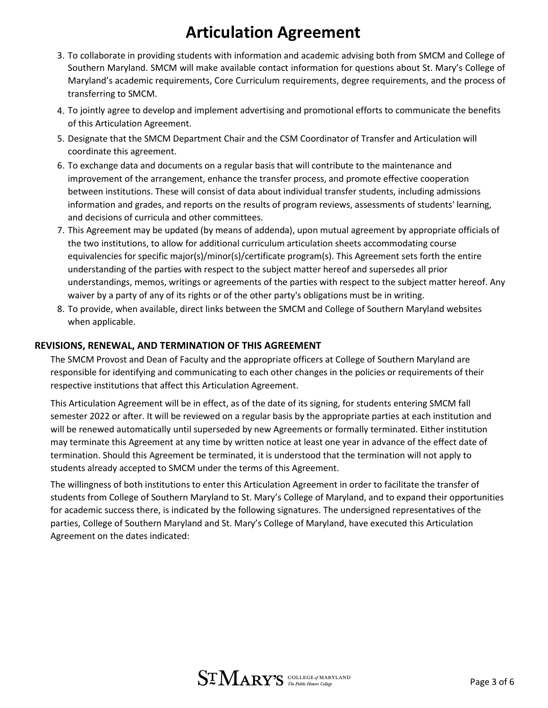- 3. To collaborate in providing students with information and academic advising both from SMCM and College of Southern Maryland. SMCM will make available contact information for questions about St. Mary's College of Maryland's academic requirements, Core Curriculum requirements, degree requirements, and the process of transferring to SMCM.
- 4. To jointly agree to develop and implement advertising and promotional efforts to communicate the benefits of this Articulation Agreement.
- 5. Designate that the SMCM Department Chair and the CSM Coordinator of Transfer and Articulation will coordinate this agreement.
- 6. To exchange data and documents on a regular basis that will contribute to the maintenance and improvement of the arrangement, enhance the transfer process, and promote effective cooperation between institutions. These will consist of data about individual transfer students, including admissions information and grades, and reports on the results of program reviews, assessments of students' learning, and decisions of curricula and other committees.
- 7. This Agreement may be updated (by means of addenda), upon mutual agreement by appropriate officials of the two institutions, to allow for additional curriculum articulation sheets accommodating course equivalencies for specific major(s)/minor(s)/certificate program(s). This Agreement sets forth the entire understanding of the parties with respect to the subject matter hereof and supersedes all prior understandings, memos, writings or agreements of the parties with respect to the subject matter hereof. Any waiver by a party of any of its rights or of the other party's obligations must be in writing.
- 8. To provide, when available, direct links between the SMCM and College of Southern Maryland websites when applicable.

#### **REVISIONS, RENEWAL, AND TERMINATION OF THIS AGREEMENT**

The SMCM Provost and Dean of Faculty and the appropriate officers at College of Southern Maryland are responsible for identifying and communicating to each other changes in the policies or requirements of their respective institutions that affect this Articulation Agreement.

This Articulation Agreement will be in effect, as of the date of its signing, for students entering SMCM fall semester 2022 or after. It will be reviewed on a regular basis by the appropriate parties at each institution and will be renewed automatically until superseded by new Agreements or formally terminated. Either institution may terminate this Agreement at any time by written notice at least one year in advance of the effect date of termination. Should this Agreement be terminated, it is understood that the termination will not apply to students already accepted to SMCM under the terms of this Agreement.

The willingness of both institutions to enter this Articulation Agreement in order to facilitate the transfer of students from College of Southern Maryland to St. Mary's College of Maryland, and to expand their opportunities for academic success there, is indicated by the following signatures. The undersigned representatives of the parties, College of Southern Maryland and St. Mary's College of Maryland, have executed this Articulation Agreement on the dates indicated: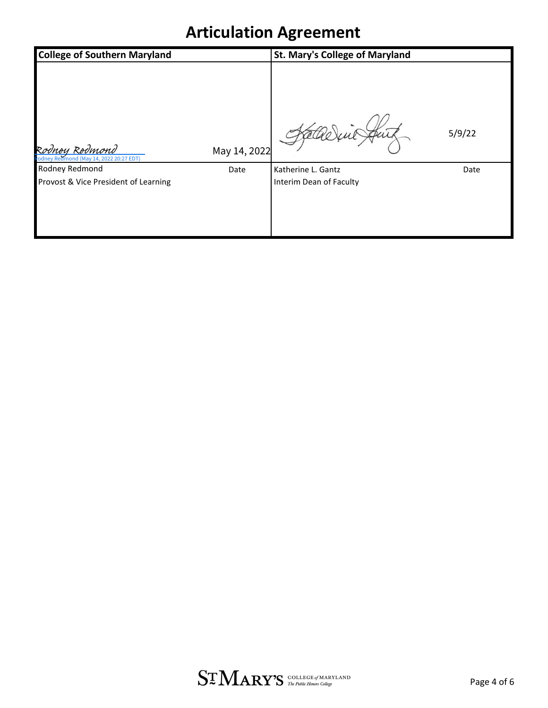| <b>College of Southern Maryland</b>                |              | <b>St. Mary's College of Maryland</b> |        |
|----------------------------------------------------|--------------|---------------------------------------|--------|
| Rodney Redmond<br>Redmond (May 14, 2022 20:27 EDT) | May 14, 2022 |                                       | 5/9/22 |
| Rodney Redmond                                     | Date         | Katherine L. Gantz                    | Date   |
| Provost & Vice President of Learning               |              | Interim Dean of Faculty               |        |
|                                                    |              |                                       |        |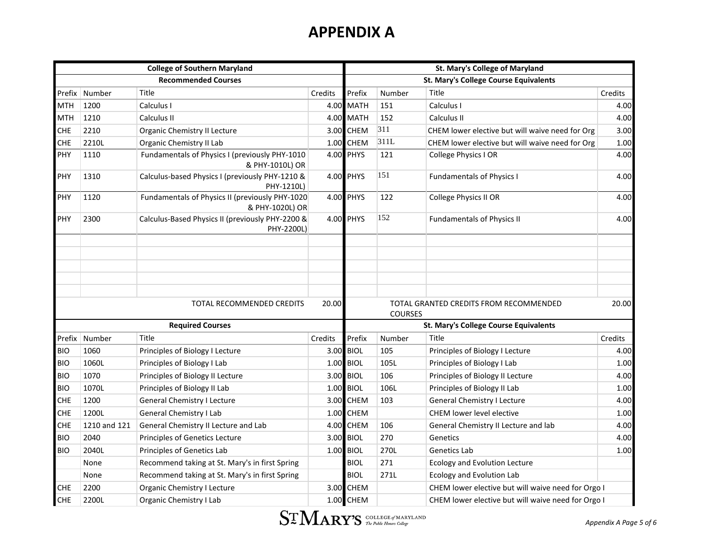## **APPENDIX A**

| <b>College of Southern Maryland</b> |              |                                                                    |         | St. Mary's College of Maryland        |                                              |                                                    |         |  |
|-------------------------------------|--------------|--------------------------------------------------------------------|---------|---------------------------------------|----------------------------------------------|----------------------------------------------------|---------|--|
| <b>Recommended Courses</b>          |              |                                                                    |         | St. Mary's College Course Equivalents |                                              |                                                    |         |  |
| Prefix                              | Number       | Title                                                              | Credits | Prefix                                | Number                                       | Title                                              | Credits |  |
| <b>MTH</b>                          | 1200         | Calculus I                                                         |         | 4.00 MATH                             | 151                                          | Calculus I                                         | 4.00    |  |
| <b>MTH</b>                          | 1210         | Calculus II                                                        |         | 4.00 MATH                             | 152                                          | Calculus II                                        | 4.00    |  |
| <b>CHE</b>                          | 2210         | Organic Chemistry II Lecture                                       |         | 3.00 CHEM                             | 311                                          | CHEM lower elective but will waive need for Org    | 3.00    |  |
| ${\sf CHE}$                         | 2210L        | Organic Chemistry II Lab                                           |         | $1.00$ CHEM                           | 311L                                         | CHEM lower elective but will waive need for Org    | 1.00    |  |
| PHY                                 | 1110         | Fundamentals of Physics I (previously PHY-1010<br>& PHY-1010L) OR  |         | 4.00 PHYS                             | 121                                          | College Physics I OR                               | 4.00    |  |
| PHY                                 | 1310         | Calculus-based Physics I (previously PHY-1210 &<br>PHY-1210L)      |         | 4.00 PHYS                             | 151                                          | <b>Fundamentals of Physics I</b>                   | 4.00    |  |
| <b>PHY</b>                          | 1120         | Fundamentals of Physics II (previously PHY-1020<br>& PHY-1020L) OR |         | 4.00 PHYS                             | 122                                          | College Physics II OR                              | 4.00    |  |
| PHY                                 | 2300         | Calculus-Based Physics II (previously PHY-2200 &<br>PHY-2200L)     |         | 4.00 PHYS                             | 152                                          | <b>Fundamentals of Physics II</b>                  | 4.00    |  |
|                                     |              | TOTAL RECOMMENDED CREDITS                                          | 20.00   |                                       | <b>COURSES</b>                               | TOTAL GRANTED CREDITS FROM RECOMMENDED             | 20.00   |  |
| <b>Required Courses</b>             |              |                                                                    |         |                                       | <b>St. Mary's College Course Equivalents</b> |                                                    |         |  |
| Prefix                              | Number       | Title                                                              | Credits | Prefix                                | Number                                       | Title                                              | Credits |  |
| <b>BIO</b>                          | 1060         | Principles of Biology I Lecture                                    |         | 3.00 BIOL                             | 105                                          | Principles of Biology I Lecture                    | 4.00    |  |
| <b>BIO</b>                          | 1060L        | Principles of Biology I Lab                                        |         | 1.00 BIOL                             | 105L                                         | Principles of Biology I Lab                        | 1.00    |  |
| <b>BIO</b>                          | 1070         | Principles of Biology II Lecture                                   |         | 3.00 BIOL                             | 106                                          | Principles of Biology II Lecture                   | 4.00    |  |
| <b>BIO</b>                          | 1070L        | Principles of Biology II Lab                                       |         | 1.00 BIOL                             | 106L                                         | Principles of Biology II Lab                       | 1.00    |  |
| CHE                                 | 1200         | <b>General Chemistry I Lecture</b>                                 |         | 3.00 CHEM                             | 103                                          | <b>General Chemistry I Lecture</b>                 | 4.00    |  |
| <b>CHE</b>                          | 1200L        | <b>General Chemistry I Lab</b>                                     |         | 1.00 CHEM                             |                                              | <b>CHEM lower level elective</b>                   | 1.00    |  |
| CHE                                 | 1210 and 121 | General Chemistry II Lecture and Lab                               |         | 4.00 CHEM                             | 106                                          | General Chemistry II Lecture and lab               | 4.00    |  |
| <b>BIO</b>                          | 2040         | Principles of Genetics Lecture                                     |         | 3.00 BIOL                             | 270                                          | Genetics                                           | 4.00    |  |
| <b>BIO</b>                          | 2040L        | Principles of Genetics Lab                                         |         | 1.00 BIOL                             | 270L                                         | Genetics Lab                                       | 1.00    |  |
|                                     | None         | Recommend taking at St. Mary's in first Spring                     |         | <b>BIOL</b>                           | 271                                          | Ecology and Evolution Lecture                      |         |  |
|                                     | None         | Recommend taking at St. Mary's in first Spring                     |         | <b>BIOL</b>                           | 271L                                         | <b>Ecology and Evolution Lab</b>                   |         |  |
| <b>CHE</b>                          | 2200         | <b>Organic Chemistry I Lecture</b>                                 |         | 3.00 CHEM                             |                                              | CHEM lower elective but will waive need for Orgo I |         |  |
| <b>CHE</b>                          | 2200L        | <b>Organic Chemistry I Lab</b>                                     |         | 1.00 CHEM                             |                                              | CHEM lower elective but will waive need for Orgo I |         |  |

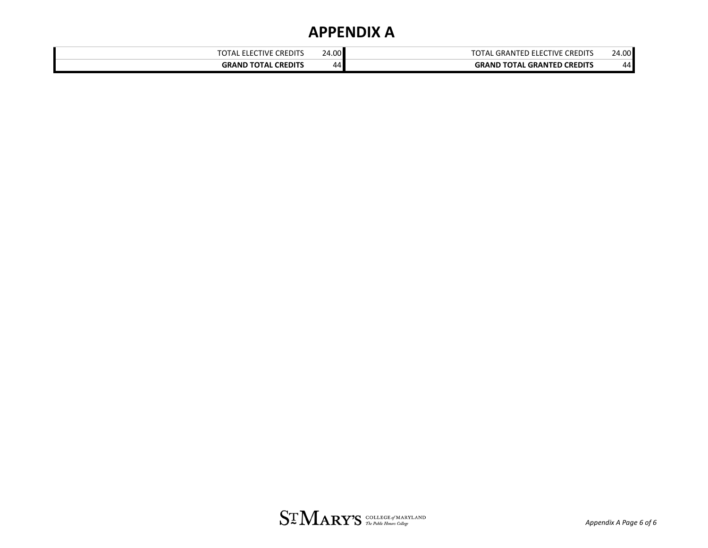### **APPENDIX A**

| <b>CREDITS</b><br>GRAND TOTAL | 44    | <b>'. GRANTED CREDITS</b><br><b>TOTAL</b><br><b>GRAND</b>           | 44'   |
|-------------------------------|-------|---------------------------------------------------------------------|-------|
| <b>CREDITS</b><br>rivf<br>۱А. | 24.00 | <b>CREDIT</b><br>TOTA <sub>I</sub><br><b>TIVE</b><br>. GRANTFD<br>. | 24.00 |